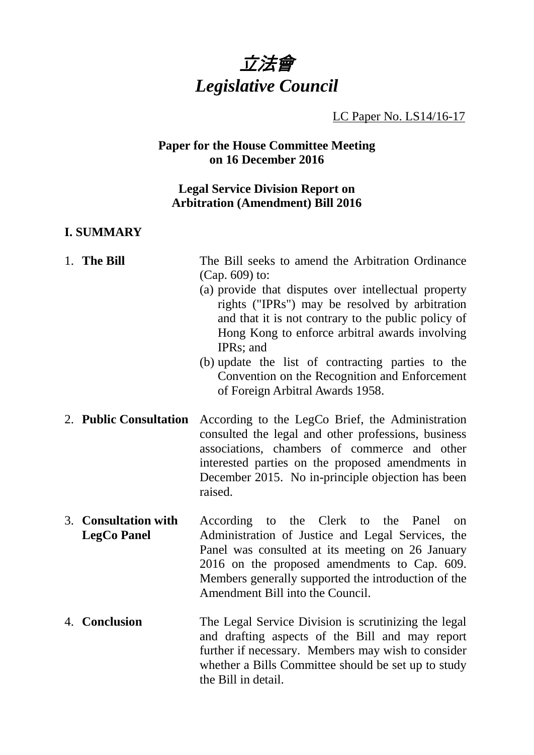

LC Paper No. LS14/16-17

## **Paper for the House Committee Meeting on 16 December 2016**

### **Legal Service Division Report on Arbitration (Amendment) Bill 2016**

#### **I. SUMMARY**

# 1. **The Bill** The Bill seeks to amend the Arbitration Ordinance (Cap. 609) to:

- (a) provide that disputes over intellectual property rights ("IPRs") may be resolved by arbitration and that it is not contrary to the public policy of Hong Kong to enforce arbitral awards involving IPRs; and
- (b) update the list of contracting parties to the Convention on the Recognition and Enforcement of Foreign Arbitral Awards 1958.
- 2. **Public Consultation** According to the LegCo Brief, the Administration consulted the legal and other professions, business associations, chambers of commerce and other interested parties on the proposed amendments in December 2015. No in-principle objection has been raised.
- 3. **Consultation with LegCo Panel** According to the Clerk to the Panel on Administration of Justice and Legal Services, the Panel was consulted at its meeting on 26 January 2016 on the proposed amendments to Cap. 609. Members generally supported the introduction of the Amendment Bill into the Council.
- 4. **Conclusion** The Legal Service Division is scrutinizing the legal and drafting aspects of the Bill and may report further if necessary. Members may wish to consider whether a Bills Committee should be set up to study the Bill in detail.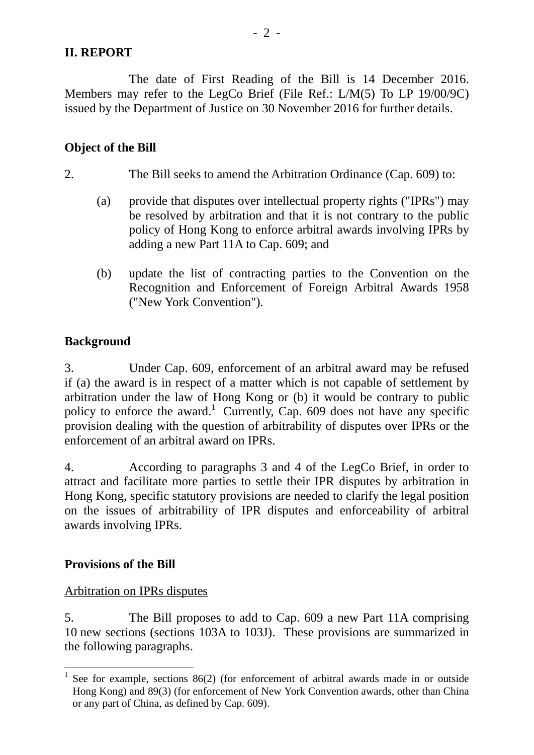## **II. REPORT**

The date of First Reading of the Bill is 14 December 2016. Members may refer to the LegCo Brief (File Ref.: L/M(5) To LP 19/00/9C) issued by the Department of Justice on 30 November 2016 for further details.

## **Object of the Bill**

- 2. The Bill seeks to amend the Arbitration Ordinance (Cap. 609) to:
	- (a) provide that disputes over intellectual property rights ("IPRs") may be resolved by arbitration and that it is not contrary to the public policy of Hong Kong to enforce arbitral awards involving IPRs by adding a new Part 11A to Cap. 609; and
	- (b) update the list of contracting parties to the Convention on the Recognition and Enforcement of Foreign Arbitral Awards 1958 ("New York Convention").

# **Background**

3. Under Cap. 609, enforcement of an arbitral award may be refused if (a) the award is in respect of a matter which is not capable of settlement by arbitration under the law of Hong Kong or (b) it would be contrary to public policy to enforce the award.<sup>1</sup> Currently, Cap. 609 does not have any specific provision dealing with the question of arbitrability of disputes over IPRs or the enforcement of an arbitral award on IPRs.

4. According to paragraphs 3 and 4 of the LegCo Brief, in order to attract and facilitate more parties to settle their IPR disputes by arbitration in Hong Kong, specific statutory provisions are needed to clarify the legal position on the issues of arbitrability of IPR disputes and enforceability of arbitral awards involving IPRs.

#### **Provisions of the Bill**

# Arbitration on IPRs disputes

5. The Bill proposes to add to Cap. 609 a new Part 11A comprising 10 new sections (sections 103A to 103J). These provisions are summarized in the following paragraphs.

<sup>&</sup>lt;sup>1</sup> See for example, sections 86(2) (for enforcement of arbitral awards made in or outside Hong Kong) and 89(3) (for enforcement of New York Convention awards, other than China or any part of China, as defined by Cap. 609).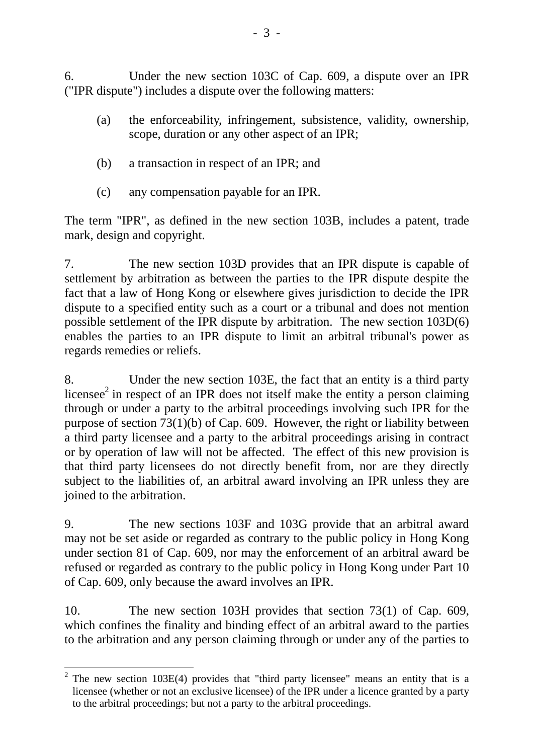6. Under the new section 103C of Cap. 609, a dispute over an IPR ("IPR dispute") includes a dispute over the following matters:

- (a) the enforceability, infringement, subsistence, validity, ownership, scope, duration or any other aspect of an IPR;
- (b) a transaction in respect of an IPR; and
- (c) any compensation payable for an IPR.

The term "IPR", as defined in the new section 103B, includes a patent, trade mark, design and copyright.

7. The new section 103D provides that an IPR dispute is capable of settlement by arbitration as between the parties to the IPR dispute despite the fact that a law of Hong Kong or elsewhere gives jurisdiction to decide the IPR dispute to a specified entity such as a court or a tribunal and does not mention possible settlement of the IPR dispute by arbitration. The new section 103D(6) enables the parties to an IPR dispute to limit an arbitral tribunal's power as regards remedies or reliefs.

8. Under the new section 103E, the fact that an entity is a third party licensee $2$  in respect of an IPR does not itself make the entity a person claiming through or under a party to the arbitral proceedings involving such IPR for the purpose of section 73(1)(b) of Cap. 609. However, the right or liability between a third party licensee and a party to the arbitral proceedings arising in contract or by operation of law will not be affected. The effect of this new provision is that third party licensees do not directly benefit from, nor are they directly subject to the liabilities of, an arbitral award involving an IPR unless they are joined to the arbitration.

9. The new sections 103F and 103G provide that an arbitral award may not be set aside or regarded as contrary to the public policy in Hong Kong under section 81 of Cap. 609, nor may the enforcement of an arbitral award be refused or regarded as contrary to the public policy in Hong Kong under Part 10 of Cap. 609, only because the award involves an IPR.

10. The new section 103H provides that section 73(1) of Cap. 609, which confines the finality and binding effect of an arbitral award to the parties to the arbitration and any person claiming through or under any of the parties to

 $2$  The new section 103E(4) provides that "third party licensee" means an entity that is a licensee (whether or not an exclusive licensee) of the IPR under a licence granted by a party to the arbitral proceedings; but not a party to the arbitral proceedings.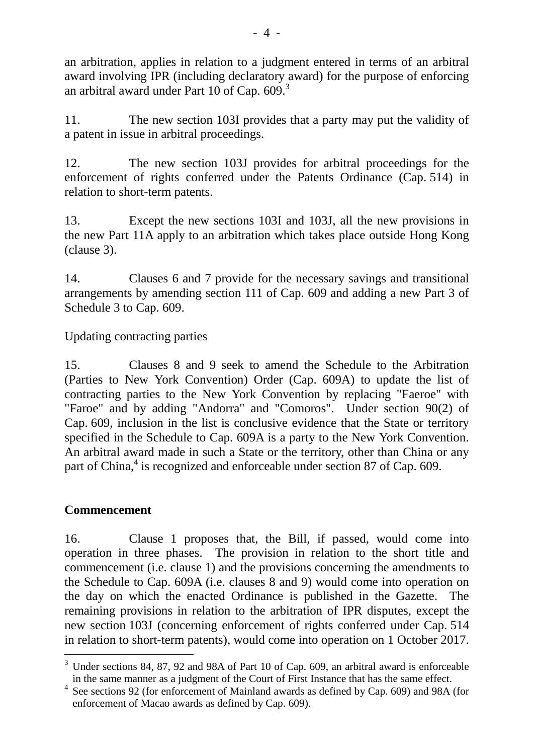an arbitration, applies in relation to a judgment entered in terms of an arbitral award involving IPR (including declaratory award) for the purpose of enforcing an arbitral award under Part 10 of Cap.  $609$ .<sup>3</sup>

11. The new section 103I provides that a party may put the validity of a patent in issue in arbitral proceedings.

12. The new section 103J provides for arbitral proceedings for the enforcement of rights conferred under the Patents Ordinance (Cap. 514) in relation to short-term patents.

13. Except the new sections 103I and 103J, all the new provisions in the new Part 11A apply to an arbitration which takes place outside Hong Kong (clause 3).

14. Clauses 6 and 7 provide for the necessary savings and transitional arrangements by amending section 111 of Cap. 609 and adding a new Part 3 of Schedule 3 to Cap. 609.

# Updating contracting parties

15. Clauses 8 and 9 seek to amend the Schedule to the Arbitration (Parties to New York Convention) Order (Cap. 609A) to update the list of contracting parties to the New York Convention by replacing "Faeroe" with "Faroe" and by adding "Andorra" and "Comoros". Under section 90(2) of Cap. 609, inclusion in the list is conclusive evidence that the State or territory specified in the Schedule to Cap. 609A is a party to the New York Convention. An arbitral award made in such a State or the territory, other than China or any part of China,<sup>4</sup> is recognized and enforceable under section 87 of Cap. 609.

# **Commencement**

16. Clause 1 proposes that, the Bill, if passed, would come into operation in three phases. The provision in relation to the short title and commencement (i.e. clause 1) and the provisions concerning the amendments to the Schedule to Cap. 609A (i.e. clauses 8 and 9) would come into operation on the day on which the enacted Ordinance is published in the Gazette. The remaining provisions in relation to the arbitration of IPR disputes, except the new section 103J (concerning enforcement of rights conferred under Cap. 514 in relation to short-term patents), would come into operation on 1 October 2017.

 $3$  Under sections 84, 87, 92 and 98A of Part 10 of Cap. 609, an arbitral award is enforceable in the same manner as a judgment of the Court of First Instance that has the same effect.

<sup>4</sup> See sections 92 (for enforcement of Mainland awards as defined by Cap. 609) and 98A (for enforcement of Macao awards as defined by Cap. 609).